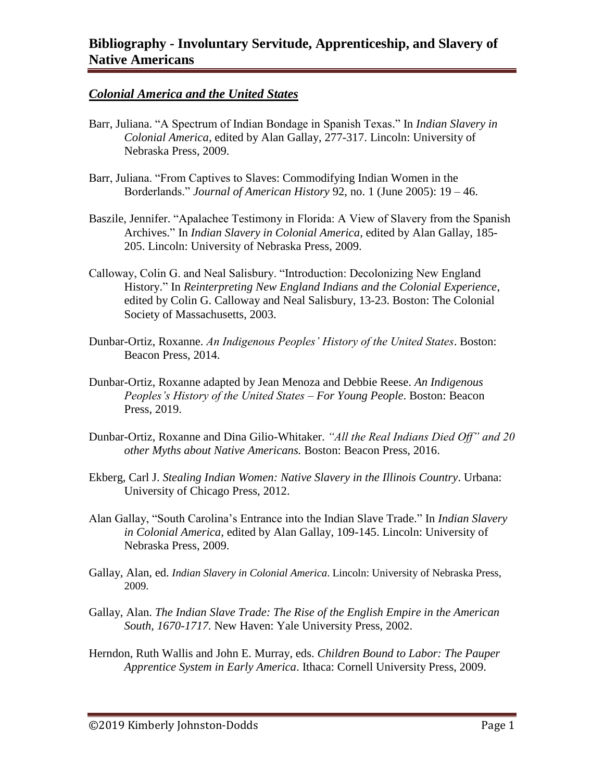### *Colonial America and the United States*

- Barr, Juliana. "A Spectrum of Indian Bondage in Spanish Texas." In *Indian Slavery in Colonial America,* edited by Alan Gallay, 277-317. Lincoln: University of Nebraska Press, 2009.
- Barr, Juliana. "From Captives to Slaves: Commodifying Indian Women in the Borderlands." *Journal of American History* 92, no. 1 (June 2005): 19 – 46.
- Baszile, Jennifer. "Apalachee Testimony in Florida: A View of Slavery from the Spanish Archives." In *Indian Slavery in Colonial America,* edited by Alan Gallay, 185- 205. Lincoln: University of Nebraska Press, 2009.
- Calloway, Colin G. and Neal Salisbury. "Introduction: Decolonizing New England History." In *Reinterpreting New England Indians and the Colonial Experience*, edited by Colin G. Calloway and Neal Salisbury, 13-23. Boston: The Colonial Society of Massachusetts, 2003.
- Dunbar-Ortiz, Roxanne. *An Indigenous Peoples' History of the United States*. Boston: Beacon Press, 2014.
- Dunbar-Ortiz, Roxanne adapted by Jean Menoza and Debbie Reese. *An Indigenous Peoples's History of the United States – For Young People*. Boston: Beacon Press, 2019.
- Dunbar-Ortiz, Roxanne and Dina Gilio-Whitaker. *"All the Real Indians Died Off" and 20 other Myths about Native Americans.* Boston: Beacon Press, 2016.
- Ekberg, Carl J. *Stealing Indian Women: Native Slavery in the Illinois Country*. Urbana: University of Chicago Press, 2012.
- Alan Gallay, "South Carolina's Entrance into the Indian Slave Trade." In *Indian Slavery in Colonial America,* edited by Alan Gallay, 109-145. Lincoln: University of Nebraska Press, 2009.
- Gallay, Alan, ed. *Indian Slavery in Colonial America*. Lincoln: University of Nebraska Press, 2009.
- Gallay, Alan. *The Indian Slave Trade: The Rise of the English Empire in the American South, 1670-1717.* New Haven: Yale University Press, 2002.
- Herndon, Ruth Wallis and John E. Murray, eds. *Children Bound to Labor: The Pauper Apprentice System in Early America*. Ithaca: Cornell University Press, 2009.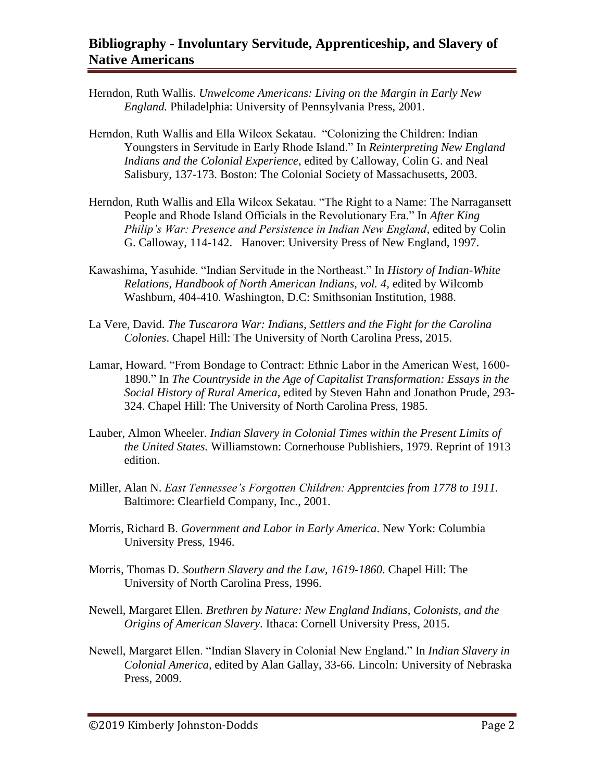- Herndon, Ruth Wallis. *Unwelcome Americans: Living on the Margin in Early New England.* Philadelphia: University of Pennsylvania Press, 2001.
- Herndon, Ruth Wallis and Ella Wilcox Sekatau. "Colonizing the Children: Indian Youngsters in Servitude in Early Rhode Island." In *Reinterpreting New England Indians and the Colonial Experience*, edited by Calloway, Colin G. and Neal Salisbury, 137-173. Boston: The Colonial Society of Massachusetts, 2003.
- Herndon, Ruth Wallis and Ella Wilcox Sekatau. "The Right to a Name: The Narragansett People and Rhode Island Officials in the Revolutionary Era." In *After King Philip's War: Presence and Persistence in Indian New England*, edited by Colin G. Calloway, 114-142. Hanover: University Press of New England, 1997.
- Kawashima, Yasuhide. "Indian Servitude in the Northeast." In *History of Indian-White Relations, Handbook of North American Indians, vol. 4*, edited by Wilcomb Washburn, 404-410*.* Washington, D.C: Smithsonian Institution, 1988.
- La Vere, David. *The Tuscarora War: Indians, Settlers and the Fight for the Carolina Colonies*. Chapel Hill: The University of North Carolina Press, 2015.
- Lamar, Howard. "From Bondage to Contract: Ethnic Labor in the American West, 1600- 1890." In *The Countryside in the Age of Capitalist Transformation: Essays in the Social History of Rural America*, edited by Steven Hahn and Jonathon Prude, 293- 324. Chapel Hill: The University of North Carolina Press, 1985.
- Lauber, Almon Wheeler. *Indian Slavery in Colonial Times within the Present Limits of the United States.* Williamstown: Cornerhouse Publishiers, 1979. Reprint of 1913 edition.
- Miller, Alan N. *East Tennessee's Forgotten Children: Apprentcies from 1778 to 1911.*  Baltimore: Clearfield Company, Inc., 2001.
- Morris, Richard B. *Government and Labor in Early America*. New York: Columbia University Press, 1946.
- Morris, Thomas D. *Southern Slavery and the Law, 1619-1860*. Chapel Hill: The University of North Carolina Press, 1996.
- Newell, Margaret Ellen. *Brethren by Nature: New England Indians, Colonists, and the Origins of American Slavery*. Ithaca: Cornell University Press, 2015.
- Newell, Margaret Ellen. "Indian Slavery in Colonial New England." In *Indian Slavery in Colonial America,* edited by Alan Gallay, 33-66. Lincoln: University of Nebraska Press, 2009.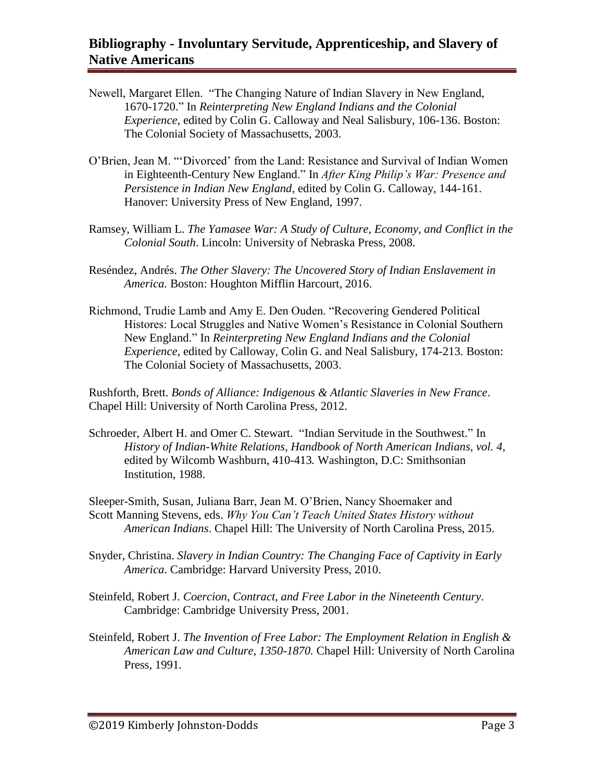- Newell, Margaret Ellen. "The Changing Nature of Indian Slavery in New England, 1670-1720." In *Reinterpreting New England Indians and the Colonial Experience*, edited by Colin G. Calloway and Neal Salisbury, 106-136. Boston: The Colonial Society of Massachusetts, 2003.
- O'Brien, Jean M. "'Divorced' from the Land: Resistance and Survival of Indian Women in Eighteenth-Century New England." In *After King Philip's War: Presence and Persistence in Indian New England,* edited by Colin G. Calloway, 144-161. Hanover: University Press of New England, 1997.
- Ramsey, William L. *The Yamasee War: A Study of Culture, Economy, and Conflict in the Colonial South*. Lincoln: University of Nebraska Press, 2008.
- Reséndez, Andrés. *The Other Slavery: The Uncovered Story of Indian Enslavement in America.* Boston: Houghton Mifflin Harcourt, 2016.
- Richmond, Trudie Lamb and Amy E. Den Ouden. "Recovering Gendered Political Histores: Local Struggles and Native Women's Resistance in Colonial Southern New England." In *Reinterpreting New England Indians and the Colonial Experience*, edited by Calloway, Colin G. and Neal Salisbury, 174-213. Boston: The Colonial Society of Massachusetts, 2003.

Rushforth, Brett. *Bonds of Alliance: Indigenous & Atlantic Slaveries in New France*. Chapel Hill: University of North Carolina Press, 2012.

Schroeder, Albert H. and Omer C. Stewart. "Indian Servitude in the Southwest." In *History of Indian-White Relations, Handbook of North American Indians, vol. 4*, edited by Wilcomb Washburn, 410-413*.* Washington, D.C: Smithsonian Institution, 1988.

Sleeper-Smith, Susan, Juliana Barr, Jean M. O'Brien, Nancy Shoemaker and Scott Manning Stevens, eds. *Why You Can't Teach United States History without American Indians*. Chapel Hill: The University of North Carolina Press, 2015.

- Snyder, Christina. *Slavery in Indian Country: The Changing Face of Captivity in Early America*. Cambridge: Harvard University Press, 2010.
- Steinfeld, Robert J. *Coercion, Contract, and Free Labor in the Nineteenth Century*. Cambridge: Cambridge University Press, 2001.
- Steinfeld, Robert J. *The Invention of Free Labor: The Employment Relation in English & American Law and Culture, 1350-1870.* Chapel Hill: University of North Carolina Press, 1991.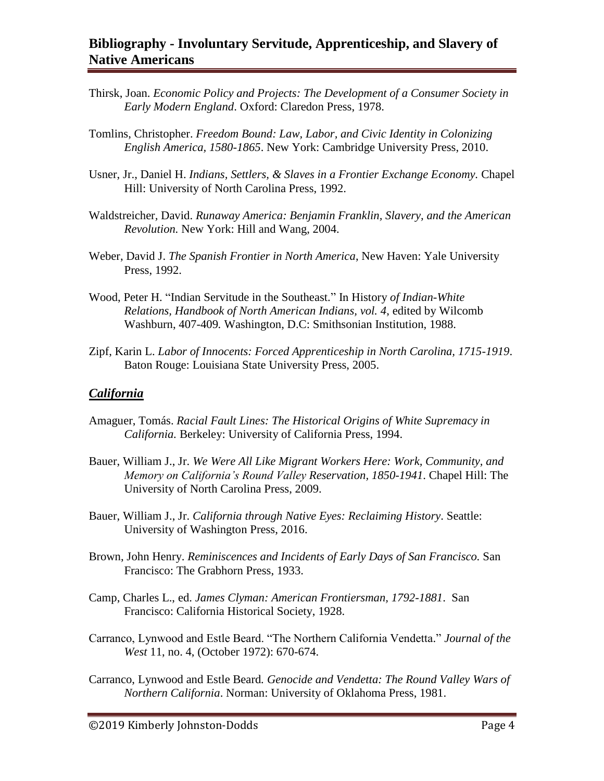- Thirsk, Joan. *Economic Policy and Projects: The Development of a Consumer Society in Early Modern England*. Oxford: Claredon Press, 1978.
- Tomlins, Christopher. *Freedom Bound: Law, Labor, and Civic Identity in Colonizing English America, 1580-1865*. New York: Cambridge University Press, 2010.
- Usner, Jr., Daniel H. *Indians, Settlers, & Slaves in a Frontier Exchange Economy.* Chapel Hill: University of North Carolina Press, 1992.
- Waldstreicher*,* David. *Runaway America: Benjamin Franklin, Slavery, and the American Revolution.* New York: Hill and Wang, 2004.
- Weber, David J. *The Spanish Frontier in North America*, New Haven: Yale University Press, 1992.
- Wood, Peter H. "Indian Servitude in the Southeast." In History *of Indian-White Relations, Handbook of North American Indians, vol. 4*, edited by Wilcomb Washburn, 407-409*.* Washington, D.C: Smithsonian Institution, 1988.
- Zipf, Karin L. *Labor of Innocents: Forced Apprenticeship in North Carolina, 1715-1919*. Baton Rouge: Louisiana State University Press, 2005.

#### *California*

- Amaguer, Tomás. *Racial Fault Lines: The Historical Origins of White Supremacy in California.* Berkeley: University of California Press, 1994.
- Bauer, William J., Jr. *We Were All Like Migrant Workers Here: Work, Community, and Memory on California's Round Valley Reservation, 1850-1941*. Chapel Hill: The University of North Carolina Press, 2009.
- Bauer, William J., Jr. *California through Native Eyes: Reclaiming History*. Seattle: University of Washington Press, 2016.
- Brown, John Henry. *Reminiscences and Incidents of Early Days of San Francisco.* San Francisco: The Grabhorn Press, 1933.
- Camp, Charles L., ed. *James Clyman: American Frontiersman, 1792-1881*. San Francisco: California Historical Society, 1928.
- Carranco, Lynwood and Estle Beard. "The Northern California Vendetta." *Journal of the West* 11, no. 4, (October 1972): 670-674.
- Carranco, Lynwood and Estle Beard*. Genocide and Vendetta: The Round Valley Wars of Northern California*. Norman: University of Oklahoma Press, 1981.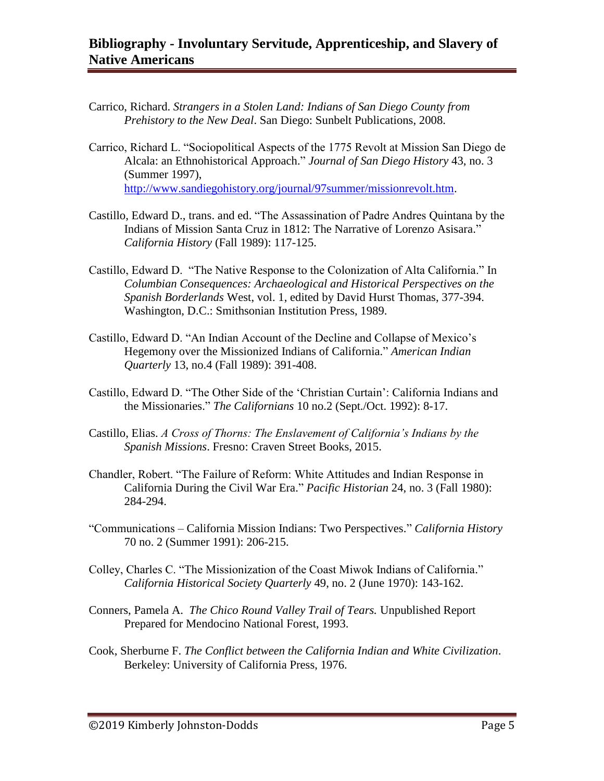- Carrico, Richard. *Strangers in a Stolen Land: Indians of San Diego County from Prehistory to the New Deal*. San Diego: Sunbelt Publications, 2008.
- Carrico, Richard L. "Sociopolitical Aspects of the 1775 Revolt at Mission San Diego de Alcala: an Ethnohistorical Approach." *Journal of San Diego History* 43, no. 3 (Summer 1997), [http://www.sandiegohistory.org/journal/97summer/missionrevolt.htm.](http://www.sandiegohistory.org/journal/97summer/missionrevolt.htm)
- Castillo, Edward D., trans. and ed. "The Assassination of Padre Andres Quintana by the Indians of Mission Santa Cruz in 1812: The Narrative of Lorenzo Asisara." *California History* (Fall 1989): 117-125.
- Castillo, Edward D. "The Native Response to the Colonization of Alta California." In *Columbian Consequences: Archaeological and Historical Perspectives on the Spanish Borderlands* West, vol. 1, edited by David Hurst Thomas, 377-394. Washington, D.C.: Smithsonian Institution Press, 1989.
- Castillo, Edward D. "An Indian Account of the Decline and Collapse of Mexico's Hegemony over the Missionized Indians of California." *American Indian Quarterly* 13, no.4 (Fall 1989): 391-408.
- Castillo, Edward D. "The Other Side of the 'Christian Curtain': California Indians and the Missionaries." *The Californians* 10 no.2 (Sept./Oct. 1992): 8-17.
- Castillo, Elias. *A Cross of Thorns: The Enslavement of California's Indians by the Spanish Missions*. Fresno: Craven Street Books, 2015.
- Chandler, Robert. "The Failure of Reform: White Attitudes and Indian Response in California During the Civil War Era." *Pacific Historian* 24, no. 3 (Fall 1980): 284-294.
- "Communications California Mission Indians: Two Perspectives." *California History* 70 no. 2 (Summer 1991): 206-215.
- Colley, Charles C. "The Missionization of the Coast Miwok Indians of California." *California Historical Society Quarterly* 49, no. 2 (June 1970): 143-162.
- Conners, Pamela A. *The Chico Round Valley Trail of Tears.* Unpublished Report Prepared for Mendocino National Forest, 1993.
- Cook, Sherburne F. *The Conflict between the California Indian and White Civilization*. Berkeley: University of California Press, 1976.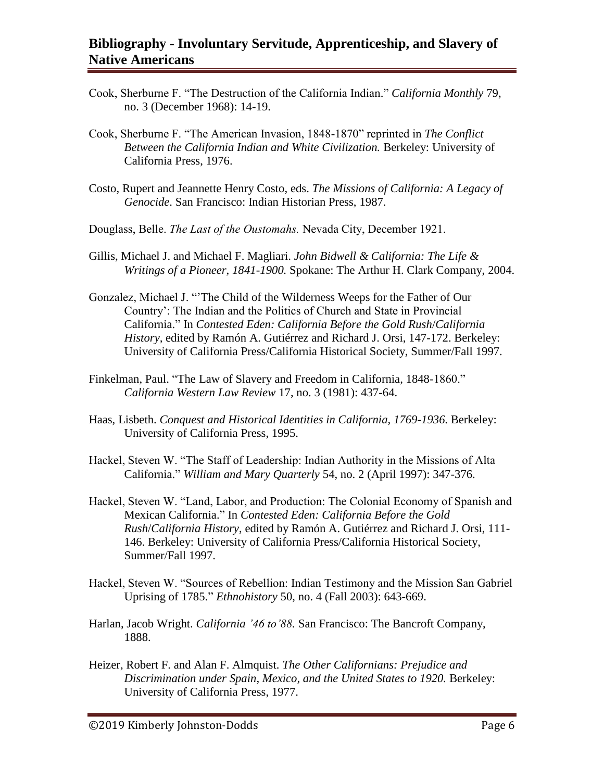- Cook, Sherburne F. "The Destruction of the California Indian." *California Monthly* 79, no. 3 (December 1968): 14-19.
- Cook, Sherburne F. "The American Invasion, 1848-1870" reprinted in *The Conflict Between the California Indian and White Civilization.* Berkeley: University of California Press, 1976.
- Costo, Rupert and Jeannette Henry Costo, eds. *The Missions of California: A Legacy of Genocide*. San Francisco: Indian Historian Press, 1987.
- Douglass, Belle. *The Last of the Oustomahs.* Nevada City, December 1921.
- Gillis, Michael J. and Michael F. Magliari. *John Bidwell & California: The Life & Writings of a Pioneer, 1841-1900.* Spokane: The Arthur H. Clark Company, 2004.
- Gonzalez, Michael J. "'The Child of the Wilderness Weeps for the Father of Our Country': The Indian and the Politics of Church and State in Provincial California." In *Contested Eden: California Before the Gold Rush*/*California History,* edited by Ramón A. Gutiérrez and Richard J. Orsi, 147-172. Berkeley: University of California Press/California Historical Society, Summer/Fall 1997.
- Finkelman, Paul. "The Law of Slavery and Freedom in California, 1848-1860." *California Western Law Review* 17, no. 3 (1981): 437-64.
- Haas, Lisbeth. *Conquest and Historical Identities in California, 1769-1936*. Berkeley: University of California Press, 1995.
- Hackel, Steven W. "The Staff of Leadership: Indian Authority in the Missions of Alta California." *William and Mary Quarterly* 54, no. 2 (April 1997): 347-376.
- Hackel, Steven W. "Land, Labor, and Production: The Colonial Economy of Spanish and Mexican California." In *Contested Eden: California Before the Gold Rush*/*California History*, edited by Ramón A. Gutiérrez and Richard J. Orsi, 111- 146. Berkeley: University of California Press/California Historical Society, Summer/Fall 1997.
- Hackel, Steven W. "Sources of Rebellion: Indian Testimony and the Mission San Gabriel Uprising of 1785." *Ethnohistory* 50, no. 4 (Fall 2003): 643-669.
- Harlan, Jacob Wright. *California '46 to'88.* San Francisco: The Bancroft Company, 1888.
- Heizer, Robert F. and Alan F. Almquist. *The Other Californians: Prejudice and Discrimination under Spain, Mexico, and the United States to 1920.* Berkeley: University of California Press, 1977.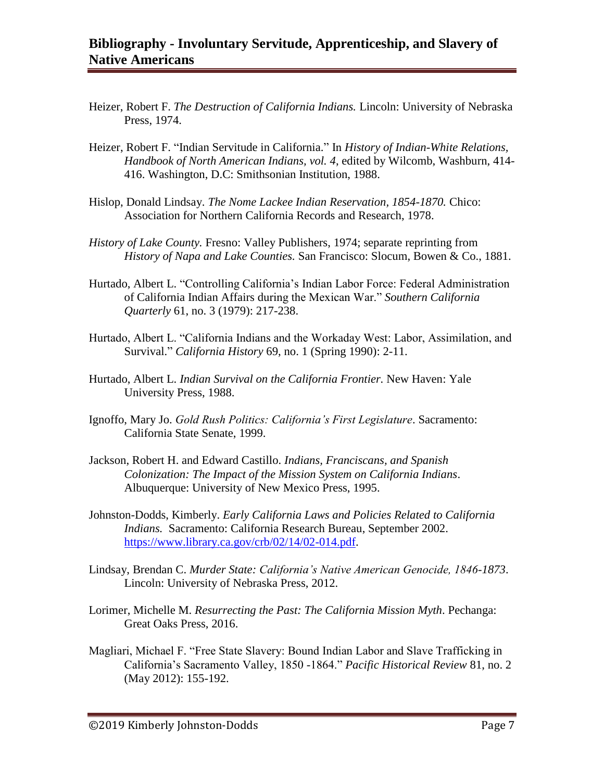- Heizer, Robert F. *The Destruction of California Indians.* Lincoln: University of Nebraska Press, 1974.
- Heizer, Robert F. "Indian Servitude in California." In *History of Indian-White Relations, Handbook of North American Indians, vol. 4*, edited by Wilcomb, Washburn, 414- 416. Washington, D.C: Smithsonian Institution, 1988.
- Hislop, Donald Lindsay. *The Nome Lackee Indian Reservation, 1854-1870.* Chico: Association for Northern California Records and Research, 1978.
- *History of Lake County.* Fresno: Valley Publishers, 1974; separate reprinting from *History of Napa and Lake Counties.* San Francisco: Slocum, Bowen & Co., 1881.
- Hurtado, Albert L. "Controlling California's Indian Labor Force: Federal Administration of California Indian Affairs during the Mexican War." *Southern California Quarterly* 61, no. 3 (1979): 217-238.
- Hurtado, Albert L. "California Indians and the Workaday West: Labor, Assimilation, and Survival." *California History* 69, no. 1 (Spring 1990): 2-11.
- Hurtado, Albert L. *Indian Survival on the California Frontier.* New Haven: Yale University Press, 1988.
- Ignoffo, Mary Jo. *Gold Rush Politics: California's First Legislature*. Sacramento: California State Senate, 1999.
- Jackson, Robert H. and Edward Castillo. *Indians, Franciscans, and Spanish Colonization: The Impact of the Mission System on California Indians*. Albuquerque: University of New Mexico Press, 1995.
- Johnston-Dodds, Kimberly. *Early California Laws and Policies Related to California Indians.* Sacramento: California Research Bureau, September 2002. [https://www.library.ca.gov/crb/02/14/02-014.pdf.](https://www.library.ca.gov/crb/02/14/02-014.pdf)
- Lindsay, Brendan C. *Murder State: California's Native American Genocide, 1846-1873*. Lincoln: University of Nebraska Press, 2012.
- Lorimer, Michelle M. *Resurrecting the Past: The California Mission Myth*. Pechanga: Great Oaks Press, 2016.
- Magliari, Michael F. "Free State Slavery: Bound Indian Labor and Slave Trafficking in California's Sacramento Valley, 1850 -1864." *Pacific Historical Review* 81, no. 2 (May 2012): 155-192.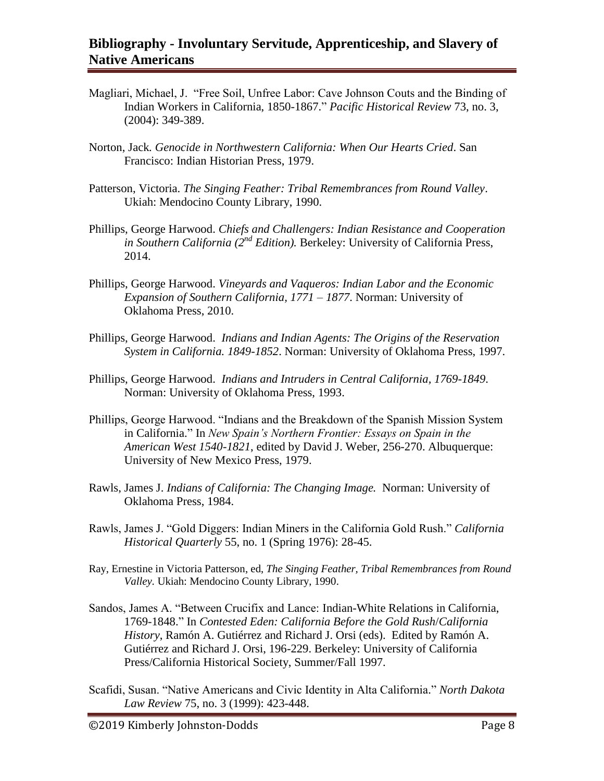- Magliari, Michael, J. "Free Soil, Unfree Labor: Cave Johnson Couts and the Binding of Indian Workers in California, 1850-1867." *Pacific Historical Review* 73, no. 3, (2004): 349-389.
- Norton, Jack*. Genocide in Northwestern California: When Our Hearts Cried*. San Francisco: Indian Historian Press, 1979.
- Patterson, Victoria. *The Singing Feather: Tribal Remembrances from Round Valley*. Ukiah: Mendocino County Library, 1990.
- Phillips, George Harwood. *Chiefs and Challengers: Indian Resistance and Cooperation in Southern California (2nd Edition).* Berkeley: University of California Press, 2014.
- Phillips, George Harwood. *Vineyards and Vaqueros: Indian Labor and the Economic Expansion of Southern California, 1771 – 1877*. Norman: University of Oklahoma Press, 2010.
- Phillips, George Harwood. *Indians and Indian Agents: The Origins of the Reservation System in California. 1849-1852*. Norman: University of Oklahoma Press, 1997.
- Phillips, George Harwood. *Indians and Intruders in Central California, 1769-1849*. Norman: University of Oklahoma Press, 1993.
- Phillips, George Harwood. "Indians and the Breakdown of the Spanish Mission System in California." In *New Spain's Northern Frontier: Essays on Spain in the American West 1540-1821*, edited by David J. Weber, 256-270. Albuquerque: University of New Mexico Press, 1979.
- Rawls, James J. *Indians of California: The Changing Image.* Norman: University of Oklahoma Press, 1984.
- Rawls, James J. "Gold Diggers: Indian Miners in the California Gold Rush." *California Historical Quarterly* 55, no. 1 (Spring 1976): 28-45.
- Ray, Ernestine in Victoria Patterson, ed, *The Singing Feather, Tribal Remembrances from Round Valley.* Ukiah: Mendocino County Library, 1990.
- Sandos, James A. "Between Crucifix and Lance: Indian-White Relations in California, 1769-1848." In *Contested Eden: California Before the Gold Rush*/*California History*, Ramón A. Gutiérrez and Richard J. Orsi (eds). Edited by Ramón A. Gutiérrez and Richard J. Orsi, 196-229. Berkeley: University of California Press/California Historical Society, Summer/Fall 1997.
- Scafidi, Susan. "Native Americans and Civic Identity in Alta California." *North Dakota Law Review* 75, no. 3 (1999): 423-448.